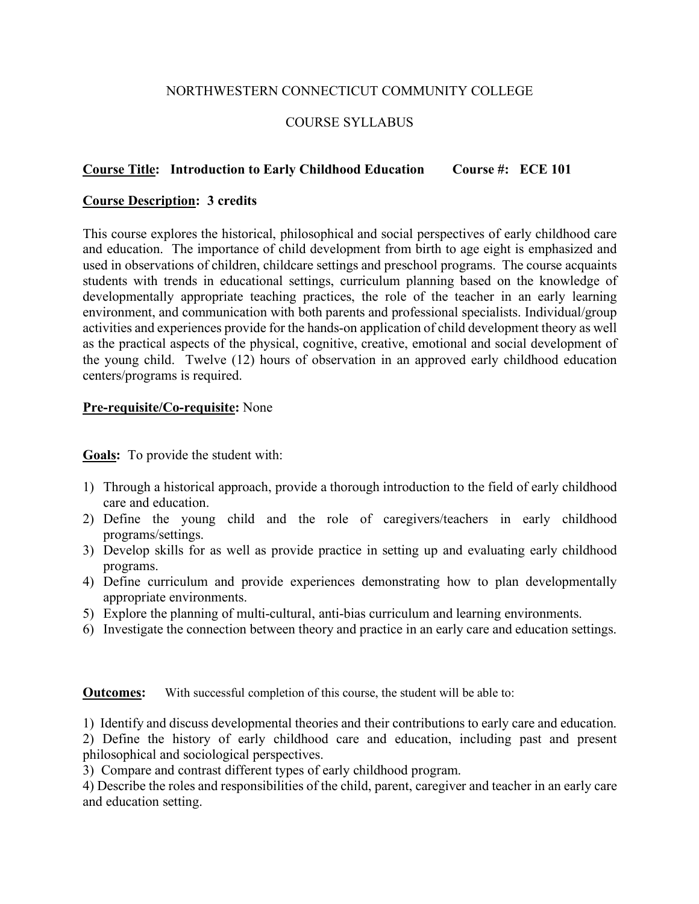## NORTHWESTERN CONNECTICUT COMMUNITY COLLEGE

# COURSE SYLLABUS

## **Course Title: Introduction to Early Childhood Education Course #: ECE 101**

### **Course Description: 3 credits**

This course explores the historical, philosophical and social perspectives of early childhood care and education. The importance of child development from birth to age eight is emphasized and used in observations of children, childcare settings and preschool programs. The course acquaints students with trends in educational settings, curriculum planning based on the knowledge of developmentally appropriate teaching practices, the role of the teacher in an early learning environment, and communication with both parents and professional specialists. Individual/group activities and experiences provide for the hands-on application of child development theory as well as the practical aspects of the physical, cognitive, creative, emotional and social development of the young child. Twelve (12) hours of observation in an approved early childhood education centers/programs is required.

### **Pre-requisite/Co-requisite:** None

**Goals:** To provide the student with:

- 1) Through a historical approach, provide a thorough introduction to the field of early childhood care and education.
- 2) Define the young child and the role of caregivers/teachers in early childhood programs/settings.
- 3) Develop skills for as well as provide practice in setting up and evaluating early childhood programs.
- 4) Define curriculum and provide experiences demonstrating how to plan developmentally appropriate environments.
- 5) Explore the planning of multi-cultural, anti-bias curriculum and learning environments.
- 6) Investigate the connection between theory and practice in an early care and education settings.

**Outcomes:** With successful completion of this course, the student will be able to:

1) Identify and discuss developmental theories and their contributions to early care and education.

2) Define the history of early childhood care and education, including past and present philosophical and sociological perspectives.

3) Compare and contrast different types of early childhood program.

4) Describe the roles and responsibilities of the child, parent, caregiver and teacher in an early care and education setting.